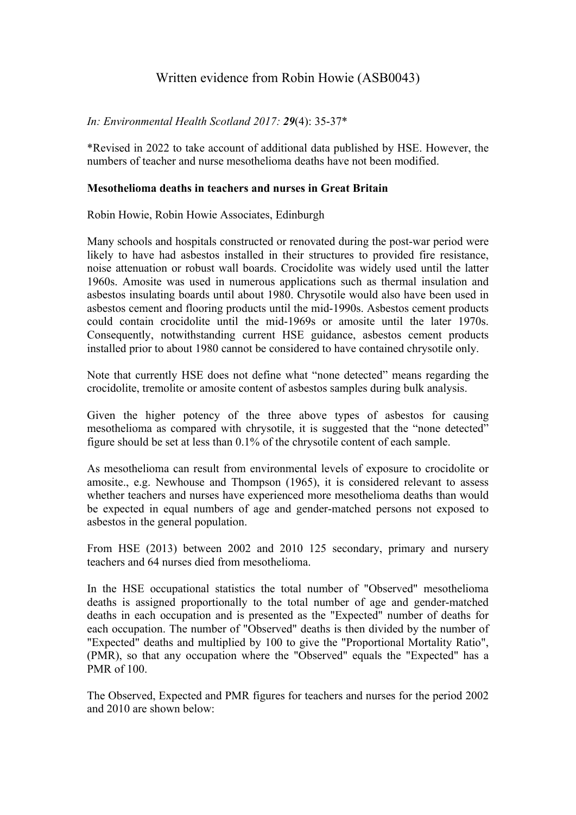## Written evidence from Robin Howie (ASB0043)

## *In: Environmental Health Scotland 2017: 29*(4): 35-37\*

\*Revised in 2022 to take account of additional data published by HSE. However, the numbers of teacher and nurse mesothelioma deaths have not been modified.

## **Mesothelioma deaths in teachers and nurses in Great Britain**

Robin Howie, Robin Howie Associates, Edinburgh

Many schools and hospitals constructed or renovated during the post-war period were likely to have had asbestos installed in their structures to provided fire resistance, noise attenuation or robust wall boards. Crocidolite was widely used until the latter 1960s. Amosite was used in numerous applications such as thermal insulation and asbestos insulating boards until about 1980. Chrysotile would also have been used in asbestos cement and flooring products until the mid-1990s. Asbestos cement products could contain crocidolite until the mid-1969s or amosite until the later 1970s. Consequently, notwithstanding current HSE guidance, asbestos cement products installed prior to about 1980 cannot be considered to have contained chrysotile only.

Note that currently HSE does not define what "none detected" means regarding the crocidolite, tremolite or amosite content of asbestos samples during bulk analysis.

Given the higher potency of the three above types of asbestos for causing mesothelioma as compared with chrysotile, it is suggested that the "none detected" figure should be set at less than 0.1% of the chrysotile content of each sample.

As mesothelioma can result from environmental levels of exposure to crocidolite or amosite., e.g. Newhouse and Thompson (1965), it is considered relevant to assess whether teachers and nurses have experienced more mesothelioma deaths than would be expected in equal numbers of age and gender-matched persons not exposed to asbestos in the general population.

From HSE (2013) between 2002 and 2010 125 secondary, primary and nursery teachers and 64 nurses died from mesothelioma.

In the HSE occupational statistics the total number of "Observed" mesothelioma deaths is assigned proportionally to the total number of age and gender-matched deaths in each occupation and is presented as the "Expected" number of deaths for each occupation. The number of "Observed" deaths is then divided by the number of "Expected" deaths and multiplied by 100 to give the "Proportional Mortality Ratio", (PMR), so that any occupation where the "Observed" equals the "Expected" has a PMR of 100.

The Observed, Expected and PMR figures for teachers and nurses for the period 2002 and 2010 are shown below: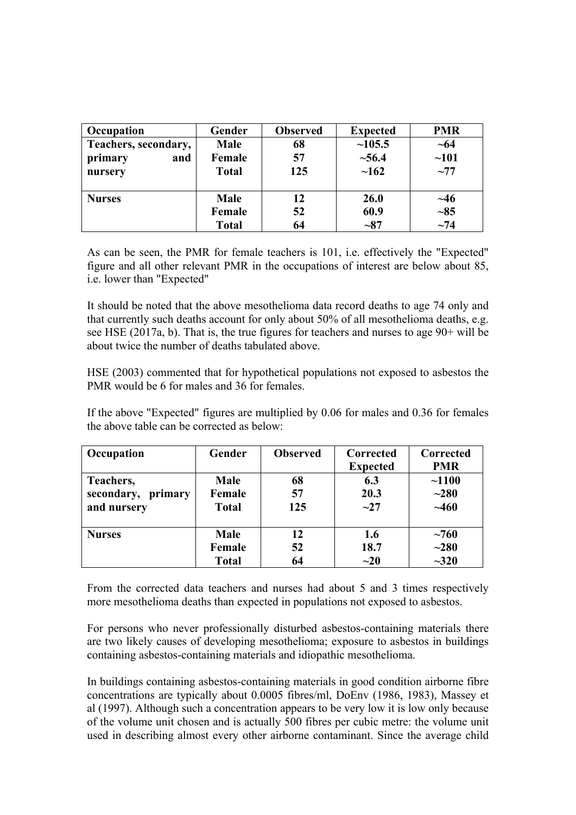| Occupation           | Gender       | <b>Observed</b> | <b>Expected</b> | <b>PMR</b> |
|----------------------|--------------|-----------------|-----------------|------------|
| Teachers, secondary, | <b>Male</b>  | 68              | ~105.5          | $\sim 64$  |
| primary<br>and       | Female       | 57              | ~56.4           | ~101       |
| nursery              | <b>Total</b> | 125             | $\sim$ 162      | $\sim$ 77  |
|                      |              |                 |                 |            |
| <b>Nurses</b>        | <b>Male</b>  | 12              | <b>26.0</b>     | $\sim$ 46  |
|                      | Female       | 52              | 60.9            | $-85$      |
|                      | <b>Total</b> | 64              | $-87$           | $\sim$ 74  |

As can be seen, the PMR for female teachers is 101, i.e. effectively the "Expected" figure and all other relevant PMR in the occupations of interest are below about 85, i.e. lower than "Expected"

It should be noted that the above mesothelioma data record deaths to age 74 only and that currently such deaths account for only about 50% of all mesothelioma deaths, e.g. see HSE (2017a, b). That is, the true figures for teachers and nurses to age 90+ will be about twice the number of deaths tabulated above.

HSE (2003) commented that for hypothetical populations not exposed to asbestos the PMR would be 6 for males and 36 for females.

If the above "Expected" figures are multiplied by 0.06 for males and 0.36 for females the above table can be corrected as below:

| Occupation            | Gender       | <b>Observed</b> | Corrected<br><b>Expected</b> | Corrected<br><b>PMR</b> |
|-----------------------|--------------|-----------------|------------------------------|-------------------------|
|                       |              |                 |                              |                         |
| Teachers,             | <b>Male</b>  | 68              | 6.3                          | ~1100                   |
| secondary,<br>primary | Female       | 57              | 20.3                         | $~1$ $-280$             |
| and nursery           | <b>Total</b> | 125             | $\sim$ 27                    | ~1460                   |
| <b>Nurses</b>         | <b>Male</b>  | 12              | 1.6                          | $~1$ $~760$             |
|                       | Female       | 52              | 18.7                         | $~1$ $-280$             |
|                       | <b>Total</b> | 64              | $\sim 20$                    | $-320$                  |

From the corrected data teachers and nurses had about 5 and 3 times respectively more mesothelioma deaths than expected in populations not exposed to asbestos.

For persons who never professionally disturbed asbestos-containing materials there are two likely causes of developing mesothelioma; exposure to asbestos in buildings containing asbestos-containing materials and idiopathic mesothelioma.

In buildings containing asbestos-containing materials in good condition airborne fibre concentrations are typically about 0.0005 fibres/ml, DoEnv (1986, 1983), Massey et al (1997). Although such a concentration appears to be very low it is low only because of the volume unit chosen and is actually 500 fibres per cubic metre: the volume unit used in describing almost every other airborne contaminant. Since the average child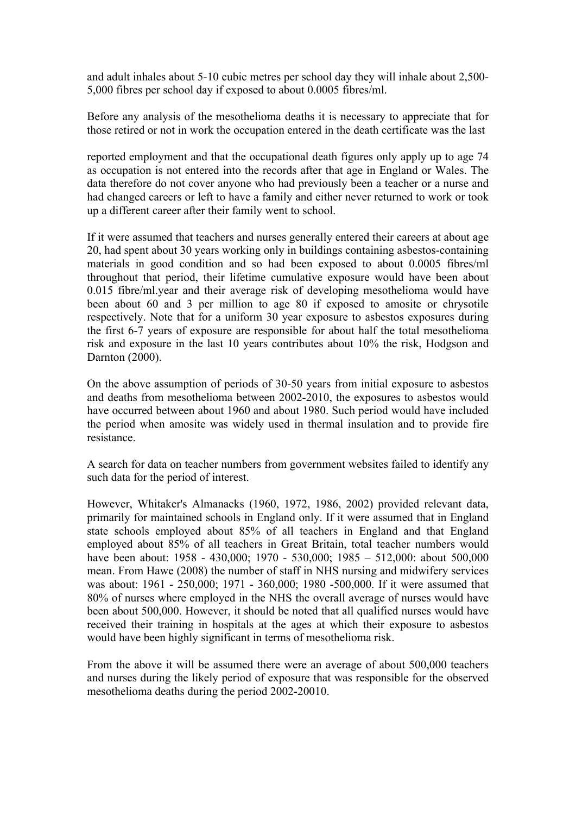and adult inhales about 5-10 cubic metres per school day they will inhale about 2,500- 5,000 fibres per school day if exposed to about 0.0005 fibres/ml.

Before any analysis of the mesothelioma deaths it is necessary to appreciate that for those retired or not in work the occupation entered in the death certificate was the last

reported employment and that the occupational death figures only apply up to age 74 as occupation is not entered into the records after that age in England or Wales. The data therefore do not cover anyone who had previously been a teacher or a nurse and had changed careers or left to have a family and either never returned to work or took up a different career after their family went to school.

If it were assumed that teachers and nurses generally entered their careers at about age 20, had spent about 30 years working only in buildings containing asbestos-containing materials in good condition and so had been exposed to about 0.0005 fibres/ml throughout that period, their lifetime cumulative exposure would have been about 0.015 fibre/ml.year and their average risk of developing mesothelioma would have been about 60 and 3 per million to age 80 if exposed to amosite or chrysotile respectively. Note that for a uniform 30 year exposure to asbestos exposures during the first 6-7 years of exposure are responsible for about half the total mesothelioma risk and exposure in the last 10 years contributes about 10% the risk, Hodgson and Darnton (2000).

On the above assumption of periods of 30-50 years from initial exposure to asbestos and deaths from mesothelioma between 2002-2010, the exposures to asbestos would have occurred between about 1960 and about 1980. Such period would have included the period when amosite was widely used in thermal insulation and to provide fire resistance.

A search for data on teacher numbers from government websites failed to identify any such data for the period of interest.

However, Whitaker's Almanacks (1960, 1972, 1986, 2002) provided relevant data, primarily for maintained schools in England only. If it were assumed that in England state schools employed about 85% of all teachers in England and that England employed about 85% of all teachers in Great Britain, total teacher numbers would have been about: 1958 - 430,000; 1970 - 530,000; 1985 – 512,000: about 500,000 mean. From Hawe (2008) the number of staff in NHS nursing and midwifery services was about: 1961 - 250,000; 1971 - 360,000; 1980 -500,000. If it were assumed that 80% of nurses where employed in the NHS the overall average of nurses would have been about 500,000. However, it should be noted that all qualified nurses would have received their training in hospitals at the ages at which their exposure to asbestos would have been highly significant in terms of mesothelioma risk.

From the above it will be assumed there were an average of about 500,000 teachers and nurses during the likely period of exposure that was responsible for the observed mesothelioma deaths during the period 2002-20010.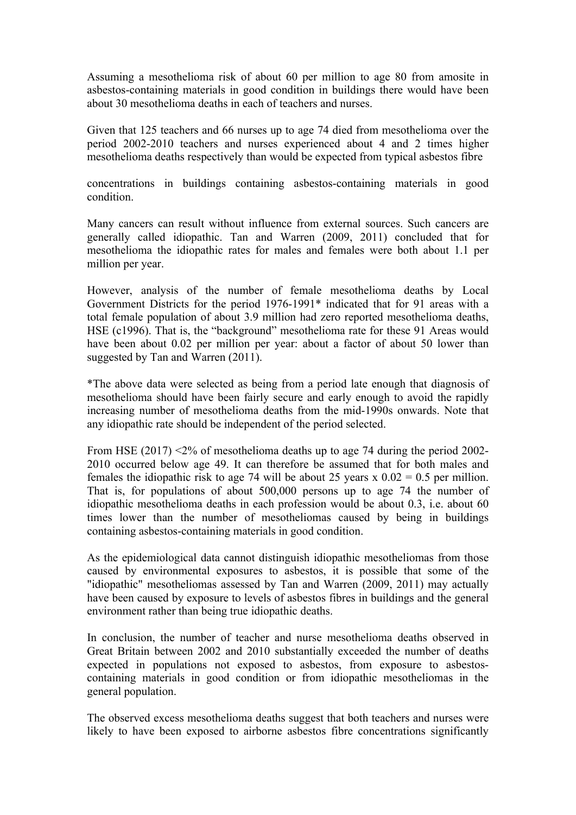Assuming a mesothelioma risk of about 60 per million to age 80 from amosite in asbestos-containing materials in good condition in buildings there would have been about 30 mesothelioma deaths in each of teachers and nurses.

Given that 125 teachers and 66 nurses up to age 74 died from mesothelioma over the period 2002-2010 teachers and nurses experienced about 4 and 2 times higher mesothelioma deaths respectively than would be expected from typical asbestos fibre

concentrations in buildings containing asbestos-containing materials in good condition.

Many cancers can result without influence from external sources. Such cancers are generally called idiopathic. Tan and Warren (2009, 2011) concluded that for mesothelioma the idiopathic rates for males and females were both about 1.1 per million per year.

However, analysis of the number of female mesothelioma deaths by Local Government Districts for the period 1976-1991\* indicated that for 91 areas with a total female population of about 3.9 million had zero reported mesothelioma deaths, HSE (c1996). That is, the "background" mesothelioma rate for these 91 Areas would have been about 0.02 per million per year: about a factor of about 50 lower than suggested by Tan and Warren (2011).

\*The above data were selected as being from a period late enough that diagnosis of mesothelioma should have been fairly secure and early enough to avoid the rapidly increasing number of mesothelioma deaths from the mid-1990s onwards. Note that any idiopathic rate should be independent of the period selected.

From HSE (2017)  $\leq$ 2% of mesothelioma deaths up to age 74 during the period 2002-2010 occurred below age 49. It can therefore be assumed that for both males and females the idiopathic risk to age 74 will be about 25 years x  $0.02 = 0.5$  per million. That is, for populations of about 500,000 persons up to age 74 the number of idiopathic mesothelioma deaths in each profession would be about 0.3, i.e. about 60 times lower than the number of mesotheliomas caused by being in buildings containing asbestos-containing materials in good condition.

As the epidemiological data cannot distinguish idiopathic mesotheliomas from those caused by environmental exposures to asbestos, it is possible that some of the "idiopathic" mesotheliomas assessed by Tan and Warren (2009, 2011) may actually have been caused by exposure to levels of asbestos fibres in buildings and the general environment rather than being true idiopathic deaths.

In conclusion, the number of teacher and nurse mesothelioma deaths observed in Great Britain between 2002 and 2010 substantially exceeded the number of deaths expected in populations not exposed to asbestos, from exposure to asbestoscontaining materials in good condition or from idiopathic mesotheliomas in the general population.

The observed excess mesothelioma deaths suggest that both teachers and nurses were likely to have been exposed to airborne asbestos fibre concentrations significantly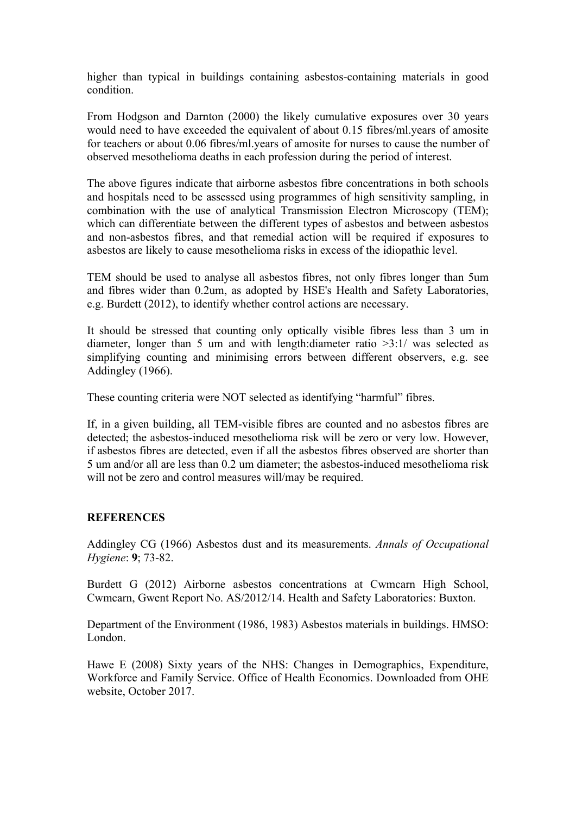higher than typical in buildings containing asbestos-containing materials in good condition.

From Hodgson and Darnton (2000) the likely cumulative exposures over 30 years would need to have exceeded the equivalent of about 0.15 fibres/ml.years of amosite for teachers or about 0.06 fibres/ml.years of amosite for nurses to cause the number of observed mesothelioma deaths in each profession during the period of interest.

The above figures indicate that airborne asbestos fibre concentrations in both schools and hospitals need to be assessed using programmes of high sensitivity sampling, in combination with the use of analytical Transmission Electron Microscopy (TEM); which can differentiate between the different types of asbestos and between asbestos and non-asbestos fibres, and that remedial action will be required if exposures to asbestos are likely to cause mesothelioma risks in excess of the idiopathic level.

TEM should be used to analyse all asbestos fibres, not only fibres longer than 5um and fibres wider than 0.2um, as adopted by HSE's Health and Safety Laboratories, e.g. Burdett (2012), to identify whether control actions are necessary.

It should be stressed that counting only optically visible fibres less than 3 um in diameter, longer than 5 um and with length:diameter ratio >3:1/ was selected as simplifying counting and minimising errors between different observers, e.g. see Addingley (1966).

These counting criteria were NOT selected as identifying "harmful" fibres.

If, in a given building, all TEM-visible fibres are counted and no asbestos fibres are detected; the asbestos-induced mesothelioma risk will be zero or very low. However, if asbestos fibres are detected, even if all the asbestos fibres observed are shorter than 5 um and/or all are less than 0.2 um diameter; the asbestos-induced mesothelioma risk will not be zero and control measures will/may be required.

## **REFERENCES**

Addingley CG (1966) Asbestos dust and its measurements. *Annals of Occupational Hygiene*: **9**; 73-82.

Burdett G (2012) Airborne asbestos concentrations at Cwmcarn High School, Cwmcarn, Gwent Report No. AS/2012/14. Health and Safety Laboratories: Buxton.

Department of the Environment (1986, 1983) Asbestos materials in buildings. HMSO: London.

Hawe E (2008) Sixty years of the NHS: Changes in Demographics, Expenditure, Workforce and Family Service. Office of Health Economics. Downloaded from OHE website, October 2017.